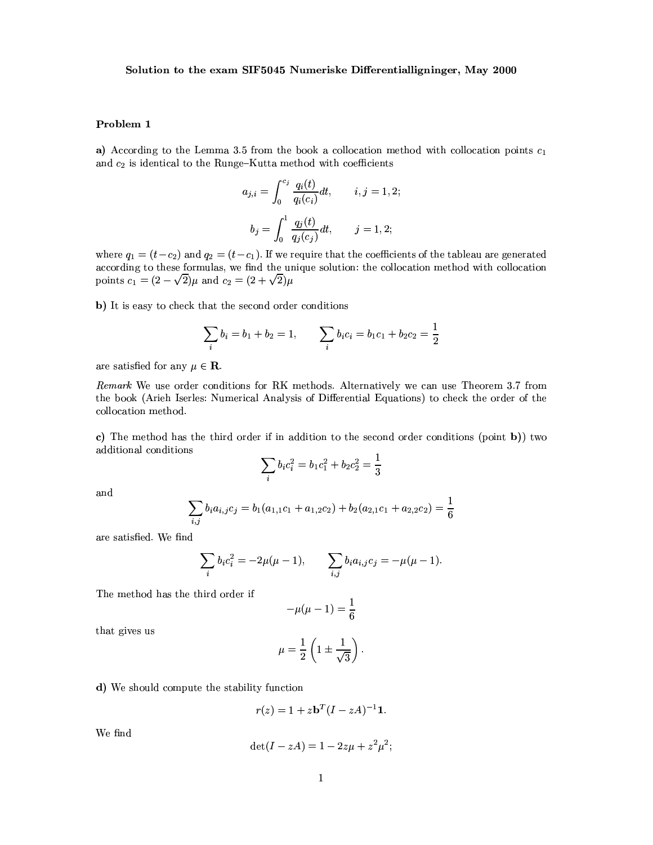## Problem 1

a) According to the Lemma 3.5 from the book a collocation method with collocation points  $c_1$ and  $c_2$  is identical to the Runge-Kutta method with coefficients

$$
a_{j,i} = \int_0^{c_j} \frac{q_i(t)}{q_i(c_i)} dt, \qquad i, j = 1, 2;
$$
  

$$
b_j = \int_0^1 \frac{q_j(t)}{q_j(c_j)} dt, \qquad j = 1, 2;
$$

where  $q_1 = (t - c_2)$  and  $q_2 = (t - c_1)$ . If we require that the coefficients of the tableau are generated according to these formulas, we find the unique solution: the collocation method with collocation points  $c_1 = (2 - \sqrt{2})\mu$  and  $c_2 = (2 + \sqrt{2})\mu$ 

b) It is easy to check that the second order conditions

$$
\sum_{i} b_i = b_1 + b_2 = 1, \qquad \sum_{i} b_i c_i = b_1 c_1 + b_2 c_2 = \frac{1}{2}
$$

are satisfied for any  $\mu \in \mathbf{R}$ .

Remark We use order conditions for RK methods. Alternatively we can use Theorem 3.7 from the book (Arieh Iserles: Numerical Analysis of Differential Equations) to check the order of the collocation method.

c) The method has the third order if in addition to the second order conditions (point b)) two additional conditions

$$
\sum_{i} b_i c_i^2 = b_1 c_1^2 + b_2 c_2^2 = \frac{1}{3}
$$

and

$$
\sum_{i,j} b_i a_{i,j} c_j = b_1 (a_{1,1} c_1 + a_{1,2} c_2) + b_2 (a_{2,1} c_1 + a_{2,2} c_2) = \frac{1}{6}
$$

are satisfied. We find

$$
\sum_{i} b_i c_i^2 = -2\mu(\mu - 1), \qquad \sum_{i,j} b_i a_{i,j} c_j = -\mu(\mu - 1).
$$

The method has the third order if

$$
-\mu(\mu-1) = \frac{1}{6}
$$

that gives us

$$
\mu = \frac{1}{2} \left( 1 \pm \frac{1}{\sqrt{3}} \right).
$$

d) We should compute the stability function

$$
r(z) = 1 + z \mathbf{b}^T (I - zA)^{-1} \mathbf{1}.
$$

We find

$$
\det(I - zA) = 1 - 2z\mu + z^2\mu^2;
$$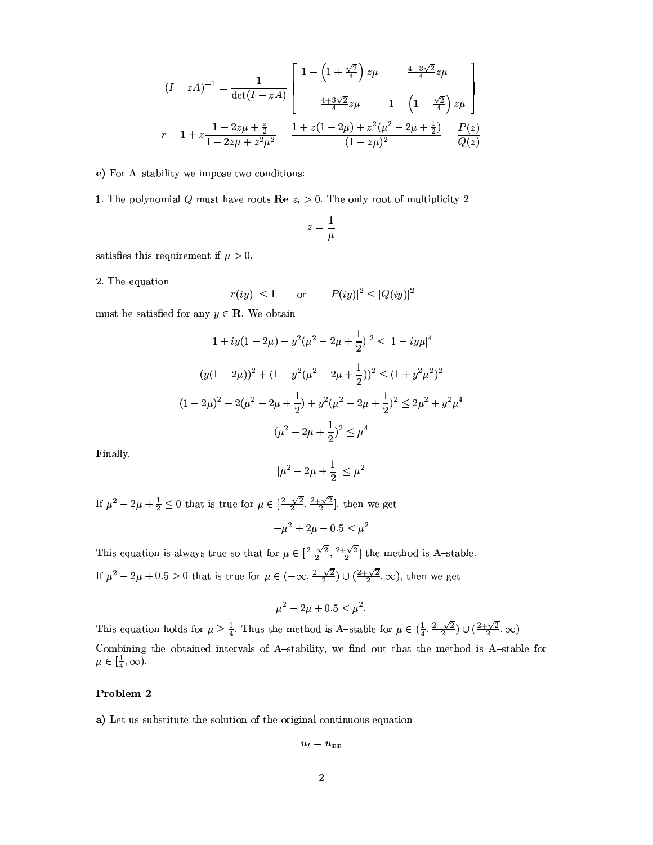$$
(I - zA)^{-1} = \frac{1}{\det(I - zA)} \begin{bmatrix} 1 - \left(1 + \frac{\sqrt{2}}{4}\right) z\mu & \frac{4 - 3\sqrt{2}}{4} z\mu \\ & & \\ \frac{4 + 3\sqrt{2}}{4} z\mu & 1 - \left(1 - \frac{\sqrt{2}}{4}\right) z\mu \end{bmatrix}
$$

$$
r = 1 + z\frac{1 - 2z\mu + \frac{z}{2}}{1 - 2z\mu + z^2\mu^2} = \frac{1 + z(1 - 2\mu) + z^2(\mu^2 - 2\mu + \frac{1}{2})}{(1 - z\mu)^2} = \frac{P(z)}{Q(z)}
$$

#### e) For A-stability we impose two conditions:

1. The polynomial Q must have roots  $\text{Re } z_i > 0$ . The only root of multiplicity 2

$$
z=\frac{1}{\mu}
$$

satisfies this requirement if  $\mu > 0$ .

2. The equation

$$
|r(iy)| \le 1 \qquad \text{or} \qquad |P(iy)|^2 \le |Q(iy)|^2
$$

must be satisfied for any  $y \in \mathbf{R}$ . We obtain

$$
|1 + iy(1 - 2\mu) - y^2(\mu^2 - 2\mu + \frac{1}{2})|^2 \le |1 - iy\mu|^4
$$
  

$$
(y(1 - 2\mu))^2 + (1 - y^2(\mu^2 - 2\mu + \frac{1}{2}))^2 \le (1 + y^2\mu^2)^2
$$
  

$$
(1 - 2\mu)^2 - 2(\mu^2 - 2\mu + \frac{1}{2}) + y^2(\mu^2 - 2\mu + \frac{1}{2})^2 \le 2\mu^2 + y^2\mu^4
$$
  

$$
(\mu^2 - 2\mu + \frac{1}{2})^2 \le \mu^4
$$

Finally,

$$
|\mu^2 - 2\mu + \frac{1}{2}| \le \mu^2
$$

If  $\mu^2 - 2\mu + \frac{1}{2} \leq 0$  that is true for  $\mu \in \left[\frac{2-\sqrt{2}}{2}, \frac{2+\sqrt{2}}{2}\right]$ , then we get

$$
-\mu^2 + 2\mu - 0.5 \le \mu^2
$$

This equation is always true so that for  $\mu \in \left[\frac{2-\sqrt{2}}{2}, \frac{2+\sqrt{2}}{2}\right]$  the method is A-stable. If  $\mu^2 - 2\mu + 0.5 > 0$  that is true for  $\mu \in (-\infty, \frac{2-\sqrt{2}}{2}) \cup (\frac{2+\sqrt{2}}{2}, \infty)$ , then we get

$$
u^2 - 2\mu + 0.5 \le \mu^2.
$$

This equation holds for  $\mu \ge \frac{1}{4}$ . Thus the method is A-stable for  $\mu \in (\frac{1}{4}, \frac{2-\sqrt{2}}{2}) \cup (\frac{2+\sqrt{2}}{2}, \infty)$ Combining the obtained intervals of A-stability, we find out that the method is A-stable for  $\mu \in [\frac{1}{4}, \infty)$ .

## Problem 2

a) Let us substitute the solution of the original continuous equation

$$
u_t = u_{xx}
$$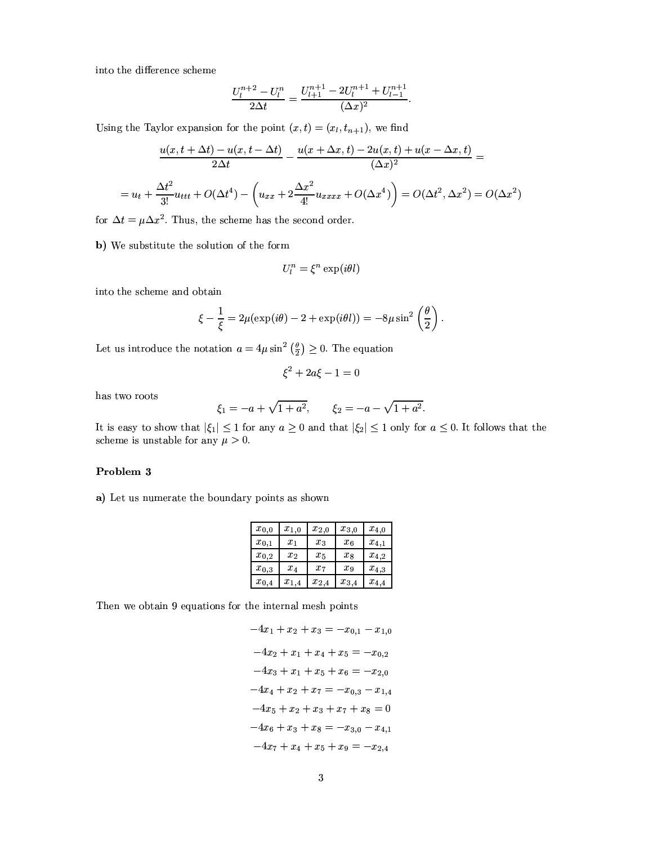into the difference scheme

$$
\frac{U_l^{n+2} - U_l^n}{2\Delta t} = \frac{U_{l+1}^{n+1} - 2U_l^{n+1} + U_{l-1}^{n+1}}{(\Delta x)^2}
$$

Using the Taylor expansion for the point  $(x,t) = (x_l, t_{n+1})$ , we find

$$
\frac{u(x, t + \Delta t) - u(x, t - \Delta t)}{2\Delta t} - \frac{u(x + \Delta x, t) - 2u(x, t) + u(x - \Delta x, t)}{(\Delta x)^2} =
$$

$$
= u_t + \frac{\Delta t^2}{3!}u_{ttt} + O(\Delta t^4) - \left(u_{xx} + 2\frac{\Delta x^2}{4!}u_{xxxx} + O(\Delta x^4)\right) = O(\Delta t^2, \Delta x^2) = O(\Delta x^2)
$$

for  $\Delta t = \mu \Delta x^2$ . Thus, the scheme has the second order.

b) We substitute the solution of the form

$$
U_l^n = \xi^n \exp(i\theta l)
$$

into the scheme and obtain

$$
\xi - \frac{1}{\xi} = 2\mu(\exp(i\theta) - 2 + \exp(i\theta l)) = -8\mu \sin^2\left(\frac{\theta}{2}\right)
$$

Let us introduce the notation  $a = 4\mu \sin^2 \left(\frac{\theta}{2}\right) \ge 0$ . The equation

 $\xi^2 + 2a\xi - 1 = 0$ 

has two roots

$$
\xi_1 = -a + \sqrt{1 + a^2}, \qquad \xi_2 = -a - \sqrt{1 + a^2}.
$$

It is easy to show that  $|\xi_1| \leq 1$  for any  $a \geq 0$  and that  $|\xi_2| \leq 1$  only for  $a \leq 0$ . It follows that the scheme is unstable for any  $\mu > 0$ .

#### Problem 3

a) Let us numerate the boundary points as shown

| $x_{0,0}$ | $x_{1,0}$ | $x_{2,0}$ | $x_{3,0}$ | $x_{4,0}$ |
|-----------|-----------|-----------|-----------|-----------|
| $x_{0,1}$ | $x_1$     | $x_3$     | $x_6$     | $x_{4,1}$ |
| $x_{0,2}$ | $x_2$     | $x_{5}$   | $x_{8}$   | $x_{4,2}$ |
| $x_{0,3}$ | $x_4$     | $x_7$     | $x_9$     | $x_{4,3}$ |
| $x_{0,4}$ | $x_{1,4}$ | $x_{2,4}$ | $x_{3,4}$ | $x_{4,4}$ |

Then we obtain 9 equations for the internal mesh points

$$
-4x_1 + x_2 + x_3 = -x_{0,1} - x_{1,0}
$$

$$
-4x_2 + x_1 + x_4 + x_5 = -x_{0,2}
$$

$$
-4x_3 + x_1 + x_5 + x_6 = -x_{2,0}
$$

$$
-4x_4 + x_2 + x_7 = -x_{0,3} - x_{1,4}
$$

$$
-4x_5 + x_2 + x_3 + x_7 + x_8 = 0
$$

$$
-4x_6 + x_3 + x_8 = -x_{3,0} - x_{4,1}
$$

$$
-4x_7 + x_4 + x_5 + x_9 = -x_{2,4}
$$